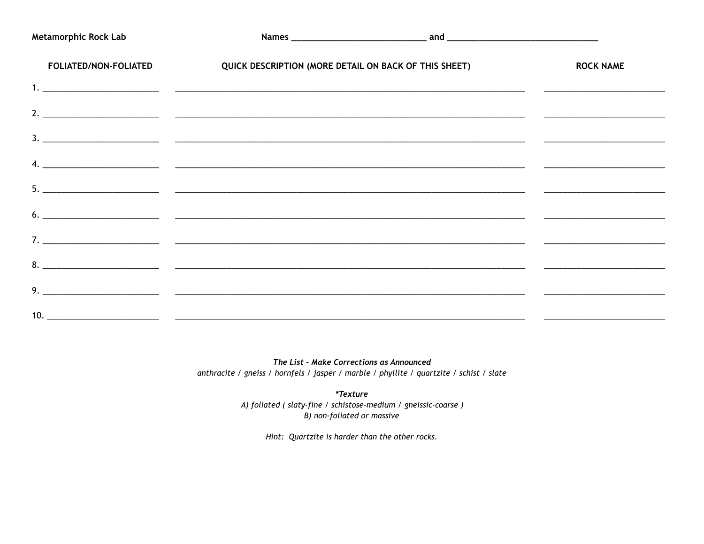| <b>Metamorphic Rock Lab</b> |                                                                                                                                                                                                                                                                                                                                                                                                                                                                        |                  |
|-----------------------------|------------------------------------------------------------------------------------------------------------------------------------------------------------------------------------------------------------------------------------------------------------------------------------------------------------------------------------------------------------------------------------------------------------------------------------------------------------------------|------------------|
| FOLIATED/NON-FOLIATED       | QUICK DESCRIPTION (MORE DETAIL ON BACK OF THIS SHEET)                                                                                                                                                                                                                                                                                                                                                                                                                  | <b>ROCK NAME</b> |
|                             |                                                                                                                                                                                                                                                                                                                                                                                                                                                                        |                  |
|                             |                                                                                                                                                                                                                                                                                                                                                                                                                                                                        |                  |
|                             |                                                                                                                                                                                                                                                                                                                                                                                                                                                                        |                  |
|                             | <u> 4.  — поставление по поставление по податки в податки в податки в податки в поставлении по поставлении по по</u>                                                                                                                                                                                                                                                                                                                                                   |                  |
|                             |                                                                                                                                                                                                                                                                                                                                                                                                                                                                        |                  |
|                             |                                                                                                                                                                                                                                                                                                                                                                                                                                                                        |                  |
|                             |                                                                                                                                                                                                                                                                                                                                                                                                                                                                        |                  |
|                             |                                                                                                                                                                                                                                                                                                                                                                                                                                                                        |                  |
|                             | $9.$ $\overline{\phantom{a}}$ $\overline{\phantom{a}}$ $\overline{\phantom{a}}$ $\overline{\phantom{a}}$ $\overline{\phantom{a}}$ $\overline{\phantom{a}}$ $\overline{\phantom{a}}$ $\overline{\phantom{a}}$ $\overline{\phantom{a}}$ $\overline{\phantom{a}}$ $\overline{\phantom{a}}$ $\overline{\phantom{a}}$ $\overline{\phantom{a}}$ $\overline{\phantom{a}}$ $\overline{\phantom{a}}$ $\overline{\phantom{a}}$ $\overline{\phantom{a}}$ $\overline{\phantom{a}}$ |                  |
|                             |                                                                                                                                                                                                                                                                                                                                                                                                                                                                        |                  |

The List - Make Corrections as Announced anthracite / gneiss / hornfels / jasper / marble / phyllite / quartzite / schist / slate

> *\*Texture* A) foliated (slaty-fine / schistose-medium / gneissic-coarse) B) non-foliated or massive

> > Hint: Quartzite is harder than the other rocks.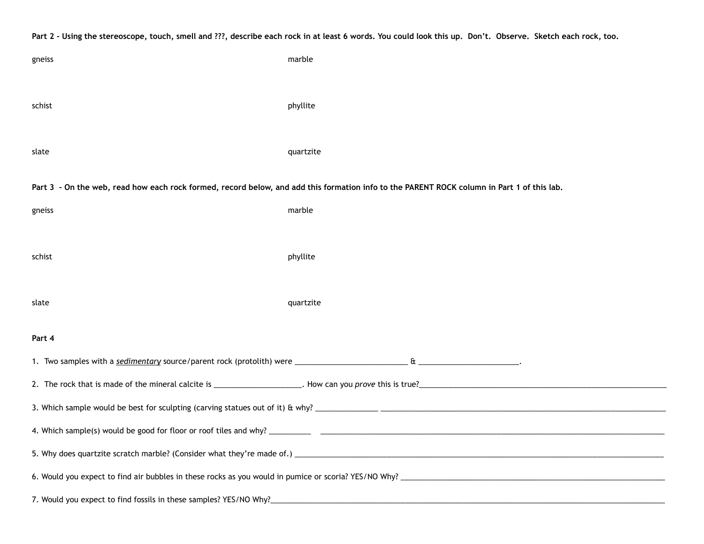| Part 2 - Using the stereoscope, touch, smell and ???, describe each rock in at least 6 words. You could look this up. Don't. Observe. Sketch each rock, too. |           |  |  |  |  |  |  |
|--------------------------------------------------------------------------------------------------------------------------------------------------------------|-----------|--|--|--|--|--|--|
| gneiss                                                                                                                                                       | marble    |  |  |  |  |  |  |
|                                                                                                                                                              |           |  |  |  |  |  |  |
| schist                                                                                                                                                       | phyllite  |  |  |  |  |  |  |
|                                                                                                                                                              |           |  |  |  |  |  |  |
| slate                                                                                                                                                        | quartzite |  |  |  |  |  |  |
| Part 3 - On the web, read how each rock formed, record below, and add this formation info to the PARENT ROCK column in Part 1 of this lab.                   |           |  |  |  |  |  |  |
| gneiss                                                                                                                                                       | marble    |  |  |  |  |  |  |
|                                                                                                                                                              |           |  |  |  |  |  |  |
| schist                                                                                                                                                       | phyllite  |  |  |  |  |  |  |
|                                                                                                                                                              |           |  |  |  |  |  |  |
| slate                                                                                                                                                        | quartzite |  |  |  |  |  |  |
| Part 4                                                                                                                                                       |           |  |  |  |  |  |  |
|                                                                                                                                                              |           |  |  |  |  |  |  |
|                                                                                                                                                              |           |  |  |  |  |  |  |
|                                                                                                                                                              |           |  |  |  |  |  |  |
| 4. Which sample(s) would be good for floor or roof tiles and why? __                                                                                         |           |  |  |  |  |  |  |
|                                                                                                                                                              |           |  |  |  |  |  |  |
|                                                                                                                                                              |           |  |  |  |  |  |  |
|                                                                                                                                                              |           |  |  |  |  |  |  |